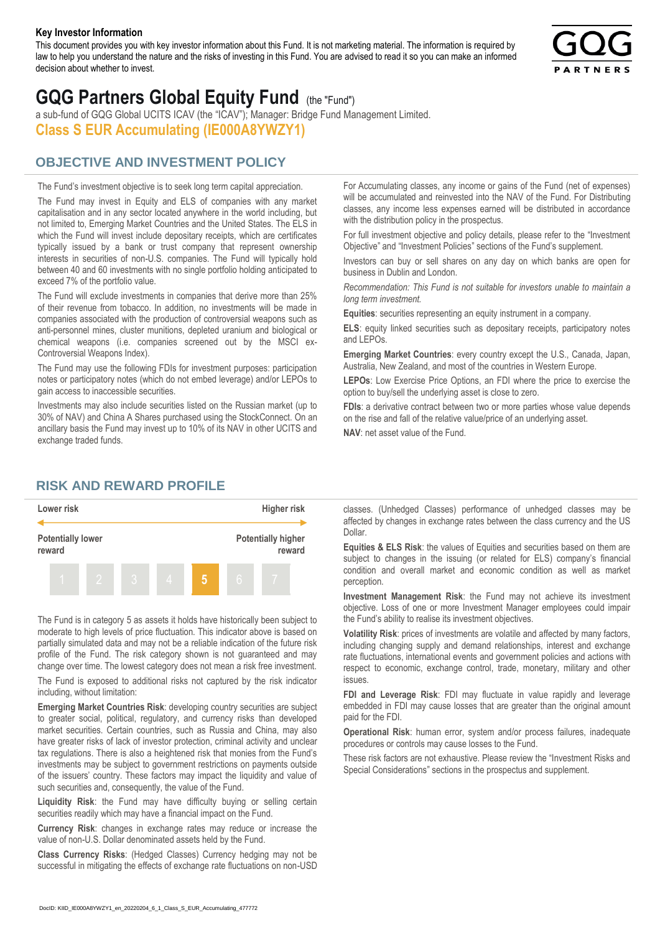#### **Key Investor Information**

This document provides you with key investor information about this Fund. It is not marketing material. The information is required by law to help you understand the nature and the risks of investing in this Fund. You are advised to read it so you can make an informed decision about whether to invest.



# **GQG Partners Global Equity Fund** (the "Fund")

a sub-fund of GQG Global UCITS ICAV (the "ICAV"); Manager: Bridge Fund Management Limited. **Class S EUR Accumulating (IE000A8YWZY1)**

## **OBJECTIVE AND INVESTMENT POLICY**

The Fund's investment objective is to seek long term capital appreciation. The Fund may invest in Equity and ELS of companies with any market capitalisation and in any sector located anywhere in the world including, but not limited to, Emerging Market Countries and the United States. The ELS in which the Fund will invest include depositary receipts, which are certificates typically issued by a bank or trust company that represent ownership interests in securities of non-U.S. companies. The Fund will typically hold between 40 and 60 investments with no single portfolio holding anticipated to exceed 7% of the portfolio value.

The Fund will exclude investments in companies that derive more than 25% of their revenue from tobacco. In addition, no investments will be made in companies associated with the production of controversial weapons such as anti-personnel mines, cluster munitions, depleted uranium and biological or chemical weapons (i.e. companies screened out by the MSCI ex-Controversial Weapons Index).

The Fund may use the following FDIs for investment purposes: participation notes or participatory notes (which do not embed leverage) and/or LEPOs to gain access to inaccessible securities.

Investments may also include securities listed on the Russian market (up to 30% of NAV) and China A Shares purchased using the StockConnect. On an ancillary basis the Fund may invest up to 10% of its NAV in other UCITS and exchange traded funds.

For Accumulating classes, any income or gains of the Fund (net of expenses) will be accumulated and reinvested into the NAV of the Fund. For Distributing classes, any income less expenses earned will be distributed in accordance with the distribution policy in the prospectus.

For full investment objective and policy details, please refer to the "Investment Objective" and "Investment Policies" sections of the Fund's supplement.

Investors can buy or sell shares on any day on which banks are open for business in Dublin and London.

*Recommendation: This Fund is not suitable for investors unable to maintain a long term investment.*

**Equities**: securities representing an equity instrument in a company.

**ELS**: equity linked securities such as depositary receipts, participatory notes and LEPOs.

**Emerging Market Countries**: every country except the U.S., Canada, Japan, Australia, New Zealand, and most of the countries in Western Europe.

**LEPOs**: Low Exercise Price Options, an FDI where the price to exercise the option to buy/sell the underlying asset is close to zero.

**FDIs**: a derivative contract between two or more parties whose value depends on the rise and fall of the relative value/price of an underlying asset.

**NAV**: net asset value of the Fund.

### **RISK AND REWARD PROFILE**



The Fund is in category 5 as assets it holds have historically been subject to moderate to high levels of price fluctuation. This indicator above is based on partially simulated data and may not be a reliable indication of the future risk profile of the Fund. The risk category shown is not guaranteed and may change over time. The lowest category does not mean a risk free investment.

The Fund is exposed to additional risks not captured by the risk indicator including, without limitation:

**Emerging Market Countries Risk**: developing country securities are subject to greater social, political, regulatory, and currency risks than developed market securities. Certain countries, such as Russia and China, may also have greater risks of lack of investor protection, criminal activity and unclear tax regulations. There is also a heightened risk that monies from the Fund's investments may be subject to government restrictions on payments outside of the issuers' country. These factors may impact the liquidity and value of such securities and, consequently, the value of the Fund.

**Liquidity Risk**: the Fund may have difficulty buying or selling certain securities readily which may have a financial impact on the Fund.

**Currency Risk**: changes in exchange rates may reduce or increase the value of non-U.S. Dollar denominated assets held by the Fund.

**Class Currency Risks**: (Hedged Classes) Currency hedging may not be successful in mitigating the effects of exchange rate fluctuations on non-USD classes. (Unhedged Classes) performance of unhedged classes may be affected by changes in exchange rates between the class currency and the US Dollar.

**Equities & ELS Risk**: the values of Equities and securities based on them are subject to changes in the issuing (or related for ELS) company's financial condition and overall market and economic condition as well as market perception.

**Investment Management Risk**: the Fund may not achieve its investment objective. Loss of one or more Investment Manager employees could impair the Fund's ability to realise its investment objectives.

**Volatility Risk**: prices of investments are volatile and affected by many factors, including changing supply and demand relationships, interest and exchange rate fluctuations, international events and government policies and actions with respect to economic, exchange control, trade, monetary, military and other issues.

**FDI and Leverage Risk**: FDI may fluctuate in value rapidly and leverage embedded in FDI may cause losses that are greater than the original amount paid for the FDI.

**Operational Risk**: human error, system and/or process failures, inadequate procedures or controls may cause losses to the Fund.

These risk factors are not exhaustive. Please review the "Investment Risks and Special Considerations" sections in the prospectus and supplement.